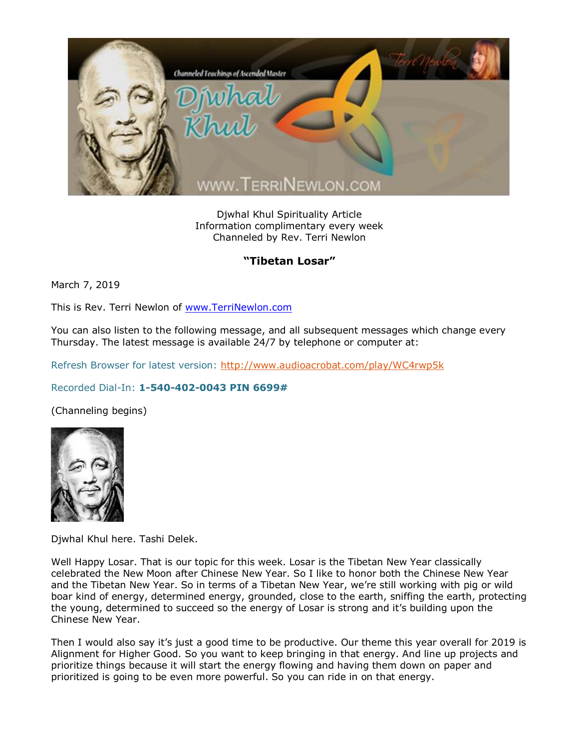

Djwhal Khul Spirituality Article Information complimentary every week Channeled by Rev. Terri Newlon

## **"Tibetan Losar"**

March 7, 2019

This is Rev. Terri Newlon of [www.TerriNewlon.com](http://www.terrinewlon.com/)

You can also listen to the following message, and all subsequent messages which change every Thursday. The latest message is available 24/7 by telephone or computer at:

Refresh Browser for latest version:<http://www.audioacrobat.com/play/WC4rwp5k>

## Recorded Dial-In: **1-540-402-0043 PIN 6699#**

(Channeling begins)



Djwhal Khul here. Tashi Delek.

Well Happy Losar. That is our topic for this week. Losar is the Tibetan New Year classically celebrated the New Moon after Chinese New Year. So I like to honor both the Chinese New Year and the Tibetan New Year. So in terms of a Tibetan New Year, we're still working with pig or wild boar kind of energy, determined energy, grounded, close to the earth, sniffing the earth, protecting the young, determined to succeed so the energy of Losar is strong and it's building upon the Chinese New Year.

Then I would also say it's just a good time to be productive. Our theme this year overall for 2019 is Alignment for Higher Good. So you want to keep bringing in that energy. And line up projects and prioritize things because it will start the energy flowing and having them down on paper and prioritized is going to be even more powerful. So you can ride in on that energy.